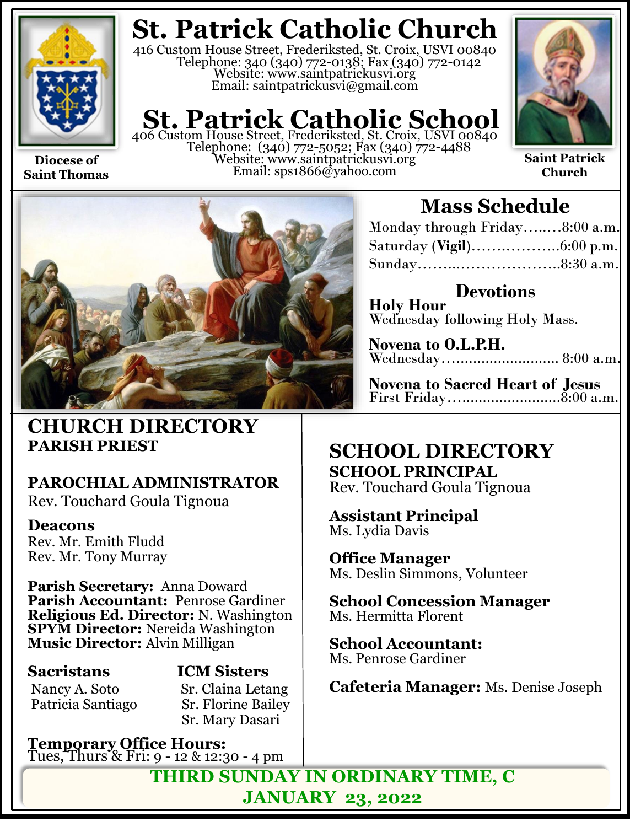

**Diocese of Saint Thomas**

## **St. Patrick Catholic Church**

416 Custom House Street, Frederiksted, St. Croix, USVI 00840 Telephone: 340 (340) 772-0138; Fax (340) 772-0142 Website: www.saintpatrickusvi.org Email: saintpatrickusvi@gmail.com

## **St. Patrick Catholic School** 406 Custom House Street, Frederiksted, St. Croix, USVI 00840

Telephone: (340) 772-5052; Fax (340) 772-4488 Website: www.saintpatrickusvi.org Email: sps1866@yahoo.com



**Saint Patrick Church**



## **CHURCH DIRECTORY PARISH PRIEST**

## **PAROCHIAL ADMINISTRATOR**

Rev. Touchard Goula Tignoua

### **Deacons**

Rev. Mr. Emith Fludd Rev. Mr. Tony Murray

**Parish Secretary:** Anna Doward **Parish Accountant:** Penrose Gardiner **Religious Ed. Director:** N. Washington **SPYM Director:** Nereida Washington **Music Director:** Alvin Milligan

## **Sacristans ICM Sisters**

Nancy A. Soto Sr. Claina Letang<br>Patricia Santiago Sr. Florine Bailey **Sr. Florine Bailey** Sr. Mary Dasari

**Temporary Office Hours:**  Tues, Thurs & Fri: 9 - 12 & 12:30 - 4 pm

## **Mass Schedule**

| Monday through Friday8:00 a.m. |  |
|--------------------------------|--|
|                                |  |
|                                |  |

**Devotions Holy Hour**  Wednesday following Holy Mass.

**Novena to O.L.P.H.** Wednesday…......................... 8:00 a.m.

**Novena to Sacred Heart of Jesus** First Friday…........................8:00 a.m.

## **SCHOOL DIRECTORY SCHOOL PRINCIPAL**

Rev. Touchard Goula Tignoua

**Assistant Principal** Ms. Lydia Davis

**Office Manager** Ms. Deslin Simmons, Volunteer

**School Concession Manager** Ms. Hermitta Florent

**School Accountant:**  Ms. Penrose Gardiner

**Cafeteria Manager:** Ms. Denise Joseph

**THIRD SUNDAY IN ORDINARY TIME, C JANUARY 23, 2022**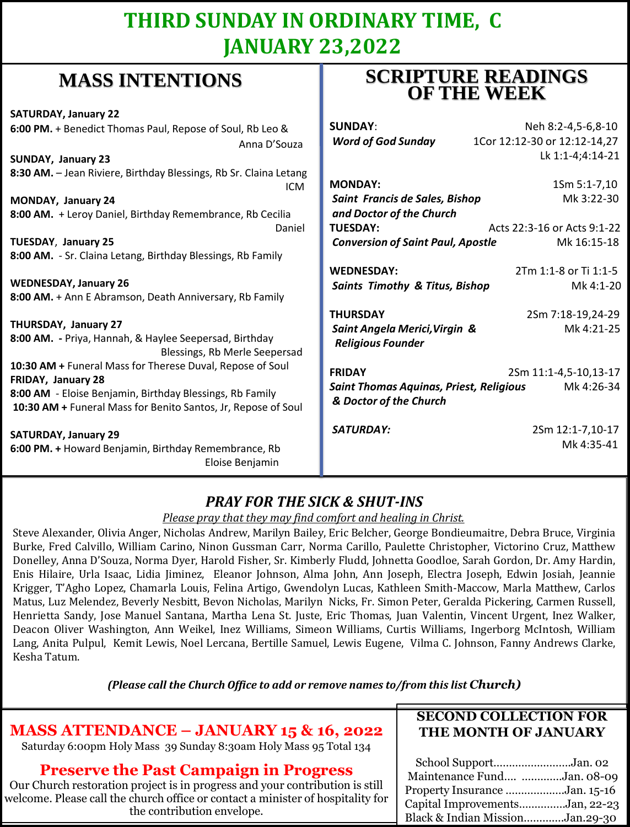## **THIRD SUNDAY IN ORDINARY TIME, C JANUARY 23,2022**

**SCRIPTURE READINGS** 

## **MASS INTENTIONS**

| where hyperically                                                                                                         | <b>OF THE WEEK</b>                             |                              |
|---------------------------------------------------------------------------------------------------------------------------|------------------------------------------------|------------------------------|
| <b>SATURDAY, January 22</b>                                                                                               |                                                |                              |
| 6:00 PM. + Benedict Thomas Paul, Repose of Soul, Rb Leo &                                                                 | <b>SUNDAY:</b>                                 | Neh 8:2-4,5-6,8-10           |
| Anna D'Souza                                                                                                              | <b>Word of God Sunday</b>                      | 1Cor 12:12-30 or 12:12-14,27 |
| <b>SUNDAY, January 23</b>                                                                                                 |                                                | Lk 1:1-4;4:14-21             |
| 8:30 AM. - Jean Riviere, Birthday Blessings, Rb Sr. Claina Letang<br><b>ICM</b>                                           | <b>MONDAY:</b>                                 | 1Sm 5:1-7,10                 |
| MONDAY, January 24                                                                                                        | Saint Francis de Sales, Bishop                 | Mk 3:22-30                   |
| 8:00 AM. + Leroy Daniel, Birthday Remembrance, Rb Cecilia                                                                 | and Doctor of the Church                       |                              |
| Daniel                                                                                                                    | <b>TUESDAY:</b>                                | Acts 22:3-16 or Acts 9:1-22  |
| <b>TUESDAY, January 25</b>                                                                                                | <b>Conversion of Saint Paul, Apostle</b>       | Mk 16:15-18                  |
| 8:00 AM. - Sr. Claina Letang, Birthday Blessings, Rb Family                                                               |                                                |                              |
|                                                                                                                           | <b>WEDNESDAY:</b>                              | 2Tm 1:1-8 or Ti 1:1-5        |
| <b>WEDNESDAY, January 26</b>                                                                                              | <b>Saints Timothy &amp; Titus, Bishop</b>      | Mk 4:1-20                    |
| 8:00 AM. + Ann E Abramson, Death Anniversary, Rb Family                                                                   |                                                |                              |
|                                                                                                                           | <b>THURSDAY</b>                                | 2Sm 7:18-19,24-29            |
| THURSDAY, January 27                                                                                                      | Saint Angela Merici, Virgin &                  | Mk 4:21-25                   |
| 8:00 AM. - Priya, Hannah, & Haylee Seepersad, Birthday<br>Blessings, Rb Merle Seepersad                                   | <b>Religious Founder</b>                       |                              |
| 10:30 AM + Funeral Mass for Therese Duval, Repose of Soul                                                                 | <b>FRIDAY</b>                                  | 2Sm 11:1-4,5-10,13-17        |
| FRIDAY, January 28                                                                                                        | <b>Saint Thomas Aquinas, Priest, Religious</b> | Mk 4:26-34                   |
| 8:00 AM - Eloise Benjamin, Birthday Blessings, Rb Family<br>10:30 AM + Funeral Mass for Benito Santos, Jr, Repose of Soul | & Doctor of the Church                         |                              |
| <b>SATURDAY, January 29</b>                                                                                               | <b>SATURDAY:</b>                               | 2Sm 12:1-7,10-17             |
| 6:00 PM. + Howard Benjamin, Birthday Remembrance, Rb                                                                      |                                                | Mk 4:35-41                   |
| Eloise Benjamin                                                                                                           |                                                |                              |

### *PRAY FOR THE SICK & SHUT-INS*

#### *Please pray that they may find comfort and healing in Christ.*

Steve Alexander, Olivia Anger, Nicholas Andrew, Marilyn Bailey, Eric Belcher, George Bondieumaitre, Debra Bruce, Virginia Burke, Fred Calvillo, William Carino, Ninon Gussman Carr, Norma Carillo, Paulette Christopher, Victorino Cruz, Matthew Donelley, Anna D'Souza, Norma Dyer, Harold Fisher, Sr. Kimberly Fludd, Johnetta Goodloe, Sarah Gordon, Dr. Amy Hardin, Enis Hilaire, Urla Isaac, Lidia Jiminez, Eleanor Johnson, Alma John, Ann Joseph, Electra Joseph, Edwin Josiah, Jeannie Krigger, T'Agho Lopez, Chamarla Louis, Felina Artigo, Gwendolyn Lucas, Kathleen Smith-Maccow, Marla Matthew, Carlos Matus, Luz Melendez, Beverly Nesbitt, Bevon Nicholas, Marilyn Nicks, Fr. Simon Peter, Geralda Pickering, Carmen Russell, Henrietta Sandy, Jose Manuel Santana, Martha Lena St. Juste, Eric Thomas, Juan Valentin, Vincent Urgent, Inez Walker, Deacon Oliver Washington, Ann Weikel, Inez Williams, Simeon Williams, Curtis Williams, Ingerborg McIntosh, William Lang, Anita Pulpul, Kemit Lewis, Noel Lercana, Bertille Samuel, Lewis Eugene, Vilma C. Johnson, Fanny Andrews Clarke, Kesha Tatum.

*(Please call the Church Office to add or remove names to/from this list Church)*

| <b>MASS ATTENDANCE - JANUARY 15 &amp; 16, 2022</b><br>Saturday 6:00pm Holy Mass 39 Sunday 8:30am Holy Mass 95 Total 134                                                                                                                        | <b>SECOND COLLECTION FOR</b><br>THE MONTH OF JANUARY                                                                                                       |
|------------------------------------------------------------------------------------------------------------------------------------------------------------------------------------------------------------------------------------------------|------------------------------------------------------------------------------------------------------------------------------------------------------------|
| <b>Preserve the Past Campaign in Progress</b><br>Our Church restoration project is in progress and your contribution is still<br>welcome. Please call the church office or contact a minister of hospitality for<br>the contribution envelope. | School SupportJan. 02<br>Maintenance Fund Jan. 08-09<br>Property Insurance Jan. 15-16<br>Capital ImprovementsJan, 22-23<br>Black & Indian MissionJan.29-30 |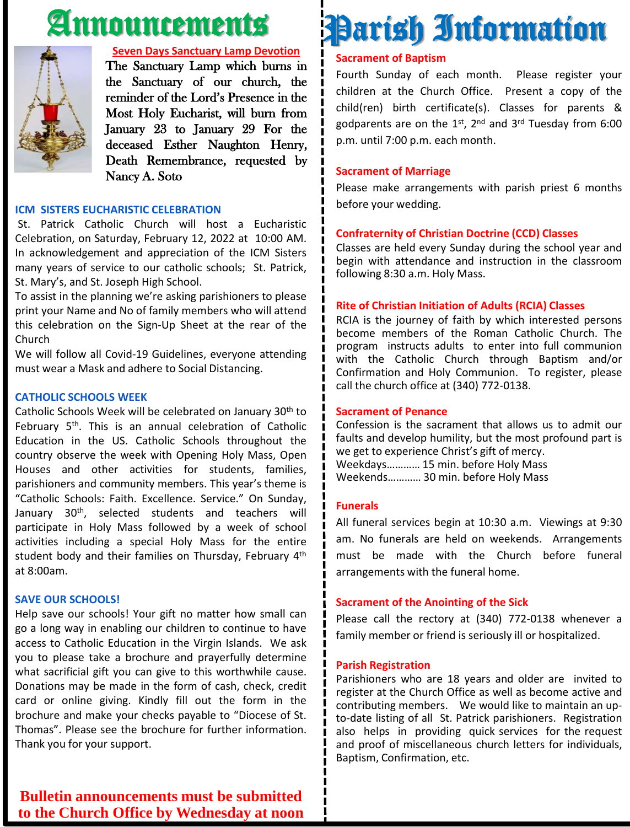## Announcements



#### **Seven Days Sanctuary Lamp Devotion**

The Sanctuary Lamp which burns in the Sanctuary of our church, the reminder of the Lord's Presence in the Most Holy Eucharist, will burn from January 23 to January 29 For the deceased Esther Naughton Henry, Death Remembrance, requested by Nancy A. Soto

#### **ICM SISTERS EUCHARISTIC CELEBRATION**

St. Patrick Catholic Church will host a Eucharistic Celebration, on Saturday, February 12, 2022 at 10:00 AM. In acknowledgement and appreciation of the ICM Sisters many years of service to our catholic schools; St. Patrick, St. Mary's, and St. Joseph High School.

To assist in the planning we're asking parishioners to please print your Name and No of family members who will attend this celebration on the Sign-Up Sheet at the rear of the Church

We will follow all Covid-19 Guidelines, everyone attending must wear a Mask and adhere to Social Distancing.

#### **CATHOLIC SCHOOLS WEEK**

Catholic Schools Week will be celebrated on January 30th to February 5<sup>th</sup>. This is an annual celebration of Catholic Education in the US. Catholic Schools throughout the country observe the week with Opening Holy Mass, Open Houses and other activities for students, families, parishioners and community members. This year's theme is "Catholic Schools: Faith. Excellence. Service." On Sunday, January 30<sup>th</sup>, selected students and teachers will participate in Holy Mass followed by a week of school activities including a special Holy Mass for the entire student body and their families on Thursday, February 4<sup>th</sup> at 8:00am.

#### **SAVE OUR SCHOOLS!**

Help save our schools! Your gift no matter how small can go a long way in enabling our children to continue to have access to Catholic Education in the Virgin Islands. We ask you to please take a brochure and prayerfully determine what sacrificial gift you can give to this worthwhile cause. Donations may be made in the form of cash, check, credit card or online giving. Kindly fill out the form in the brochure and make your checks payable to "Diocese of St. Thomas". Please see the brochure for further information. Thank you for your support.

#### **Bulletin announcements must be submitted to the Church Office by Wednesday at noon**

## Parish Information

#### **Sacrament of Baptism**

Fourth Sunday of each month. Please register your children at the Church Office. Present a copy of the child(ren) birth certificate(s). Classes for parents & godparents are on the 1st, 2<sup>nd</sup> and 3<sup>rd</sup> Tuesday from 6:00 p.m. until 7:00 p.m. each month.

#### **Sacrament of Marriage**

Please make arrangements with parish priest 6 months before your wedding.

#### **Confraternity of Christian Doctrine (CCD) Classes**

Classes are held every Sunday during the school year and begin with attendance and instruction in the classroom following 8:30 a.m. Holy Mass.

#### **Rite of Christian Initiation of Adults (RCIA) Classes**

RCIA is the journey of faith by which interested persons become members of the Roman Catholic Church. The program instructs adults to enter into full communion with the Catholic Church through Baptism and/or Confirmation and Holy Communion. To register, please call the church office at (340) 772-0138.

#### **Sacrament of Penance**

Confession is the sacrament that allows us to admit our faults and develop humility, but the most profound part is we get to experience Christ's gift of mercy. Weekdays………… 15 min. before Holy Mass Weekends………… 30 min. before Holy Mass

#### **Funerals**

All funeral services begin at 10:30 a.m. Viewings at 9:30 am. No funerals are held on weekends. Arrangements must be made with the Church before funeral arrangements with the funeral home.

#### **Sacrament of the Anointing of the Sick**

Please call the rectory at (340) 772-0138 whenever a family member or friend is seriously ill or hospitalized.

#### **Parish Registration**

Parishioners who are 18 years and older are invited to register at the Church Office as well as become active and contributing members. We would like to maintain an upto-date listing of all St. Patrick parishioners. Registration also helps in providing quick services for the request and proof of miscellaneous church letters for individuals, Baptism, Confirmation, etc.